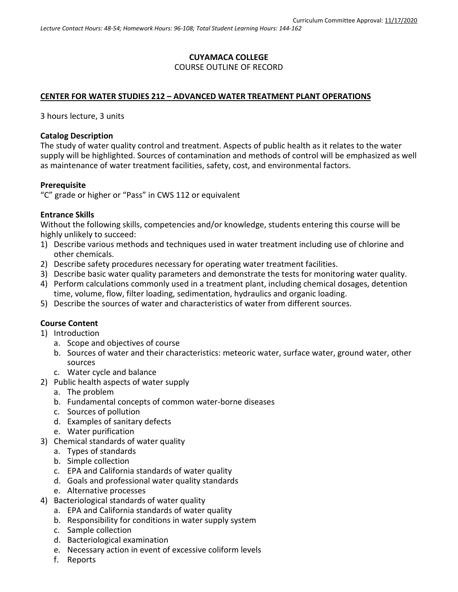## **CUYAMACA COLLEGE** COURSE OUTLINE OF RECORD

### **CENTER FOR WATER STUDIES 212 – ADVANCED WATER TREATMENT PLANT OPERATIONS**

3 hours lecture, 3 units

#### **Catalog Description**

The study of water quality control and treatment. Aspects of public health as it relates to the water supply will be highlighted. Sources of contamination and methods of control will be emphasized as well as maintenance of water treatment facilities, safety, cost, and environmental factors.

### **Prerequisite**

"C" grade or higher or "Pass" in CWS 112 or equivalent

### **Entrance Skills**

Without the following skills, competencies and/or knowledge, students entering this course will be highly unlikely to succeed:

- 1) Describe various methods and techniques used in water treatment including use of chlorine and other chemicals.
- 2) Describe safety procedures necessary for operating water treatment facilities.
- 3) Describe basic water quality parameters and demonstrate the tests for monitoring water quality.
- 4) Perform calculations commonly used in a treatment plant, including chemical dosages, detention time, volume, flow, filter loading, sedimentation, hydraulics and organic loading.
- 5) Describe the sources of water and characteristics of water from different sources.

### **Course Content**

- 1) Introduction
	- a. Scope and objectives of course
	- b. Sources of water and their characteristics: meteoric water, surface water, ground water, other sources
	- c. Water cycle and balance
- 2) Public health aspects of water supply
	- a. The problem
	- b. Fundamental concepts of common water-borne diseases
	- c. Sources of pollution
	- d. Examples of sanitary defects
	- e. Water purification
- 3) Chemical standards of water quality
	- a. Types of standards
	- b. Simple collection
	- c. EPA and California standards of water quality
	- d. Goals and professional water quality standards
	- e. Alternative processes
- 4) Bacteriological standards of water quality
	- a. EPA and California standards of water quality
	- b. Responsibility for conditions in water supply system
	- c. Sample collection
	- d. Bacteriological examination
	- e. Necessary action in event of excessive coliform levels
	- f. Reports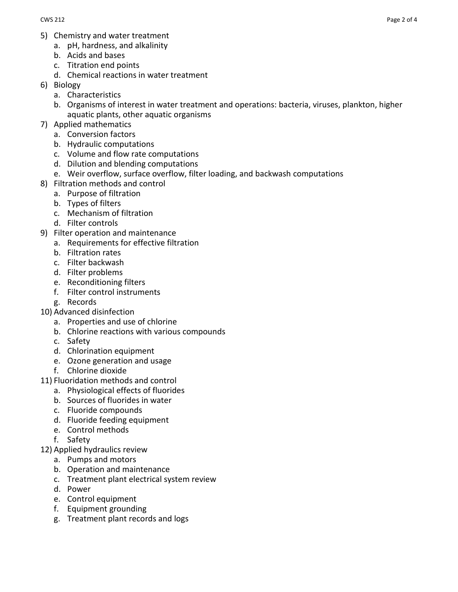- 5) Chemistry and water treatment
	- a. pH, hardness, and alkalinity
	- b. Acids and bases
	- c. Titration end points
	- d. Chemical reactions in water treatment
- 6) Biology
	- a. Characteristics
	- b. Organisms of interest in water treatment and operations: bacteria, viruses, plankton, higher aquatic plants, other aquatic organisms
- 7) Applied mathematics
	- a. Conversion factors
	- b. Hydraulic computations
	- c. Volume and flow rate computations
	- d. Dilution and blending computations
	- e. Weir overflow, surface overflow, filter loading, and backwash computations
- 8) Filtration methods and control
	- a. Purpose of filtration
	- b. Types of filters
	- c. Mechanism of filtration
	- d. Filter controls
- 9) Filter operation and maintenance
	- a. Requirements for effective filtration
	- b. Filtration rates
	- c. Filter backwash
	- d. Filter problems
	- e. Reconditioning filters
	- f. Filter control instruments
	- g. Records
- 10) Advanced disinfection
	- a. Properties and use of chlorine
	- b. Chlorine reactions with various compounds
	- c. Safety
	- d. Chlorination equipment
	- e. Ozone generation and usage
	- f. Chlorine dioxide
- 11) Fluoridation methods and control
	- a. Physiological effects of fluorides
		- b. Sources of fluorides in water
		- c. Fluoride compounds
	- d. Fluoride feeding equipment
	- e. Control methods
	- f. Safety
- 12) Applied hydraulics review
	- a. Pumps and motors
	- b. Operation and maintenance
	- c. Treatment plant electrical system review
	- d. Power
	- e. Control equipment
	- f. Equipment grounding
	- g. Treatment plant records and logs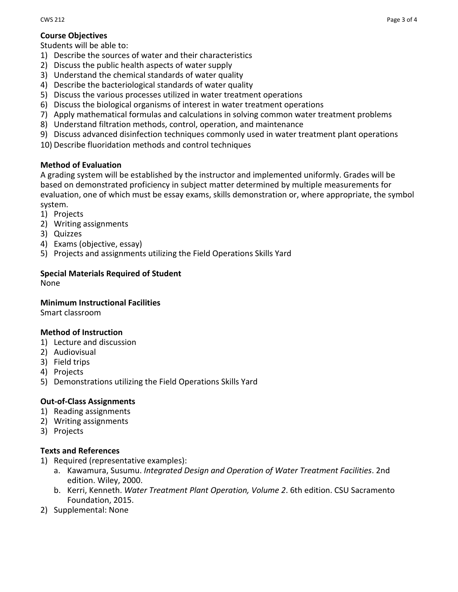## **Course Objectives**

Students will be able to:

- 1) Describe the sources of water and their characteristics
- 2) Discuss the public health aspects of water supply
- 3) Understand the chemical standards of water quality
- 4) Describe the bacteriological standards of water quality
- 5) Discuss the various processes utilized in water treatment operations
- 6) Discuss the biological organisms of interest in water treatment operations
- 7) Apply mathematical formulas and calculations in solving common water treatment problems
- 8) Understand filtration methods, control, operation, and maintenance
- 9) Discuss advanced disinfection techniques commonly used in water treatment plant operations
- 10) Describe fluoridation methods and control techniques

## **Method of Evaluation**

A grading system will be established by the instructor and implemented uniformly. Grades will be based on demonstrated proficiency in subject matter determined by multiple measurements for evaluation, one of which must be essay exams, skills demonstration or, where appropriate, the symbol system.

- 1) Projects
- 2) Writing assignments
- 3) Quizzes
- 4) Exams (objective, essay)
- 5) Projects and assignments utilizing the Field Operations Skills Yard

# **Special Materials Required of Student**

None

## **Minimum Instructional Facilities**

Smart classroom

## **Method of Instruction**

- 1) Lecture and discussion
- 2) Audiovisual
- 3) Field trips
- 4) Projects
- 5) Demonstrations utilizing the Field Operations Skills Yard

## **Out-of-Class Assignments**

- 1) Reading assignments
- 2) Writing assignments
- 3) Projects

## **Texts and References**

- 1) Required (representative examples):
	- a. Kawamura, Susumu. *Integrated Design and Operation of Water Treatment Facilities*. 2nd edition. Wiley, 2000.
	- b. Kerri, Kenneth. *Water Treatment Plant Operation, Volume 2*. 6th edition. CSU Sacramento Foundation, 2015.
- 2) Supplemental: None